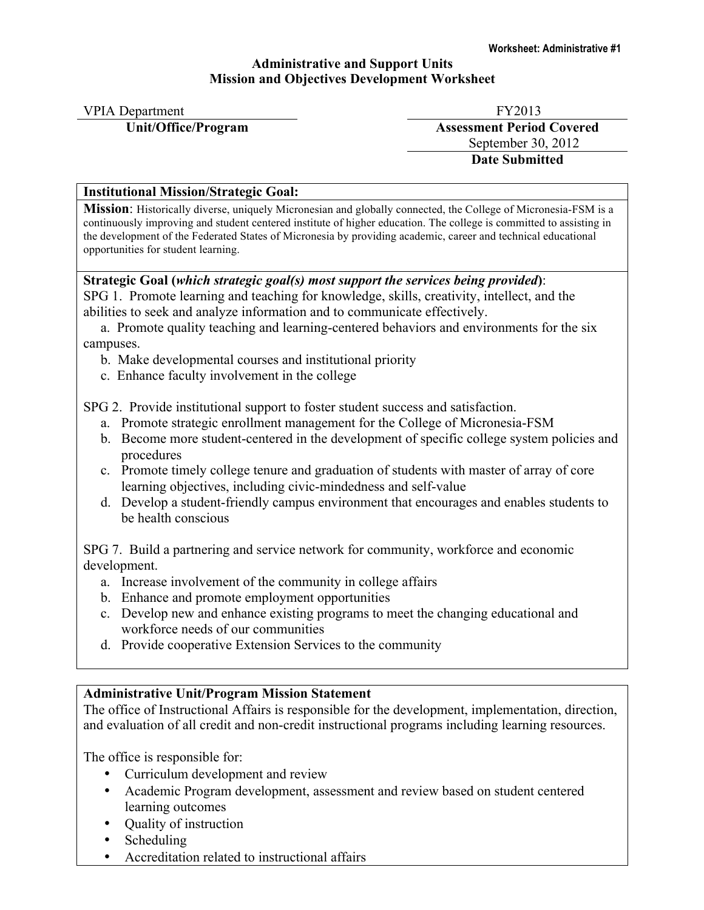### **Administrative and Support Units Mission and Objectives Development Worksheet**

| <b>VPIA</b> Department | FY2013                           |
|------------------------|----------------------------------|
| Unit/Office/Program    | <b>Assessment Period Covered</b> |
|                        | September 30, 2012               |
|                        | <b>Date Submitted</b>            |

## **Institutional Mission/Strategic Goal:**

**Mission**: Historically diverse, uniquely Micronesian and globally connected, the College of Micronesia-FSM is a continuously improving and student centered institute of higher education. The college is committed to assisting in the development of the Federated States of Micronesia by providing academic, career and technical educational opportunities for student learning.

## **Strategic Goal (***which strategic goal(s) most support the services being provided***)**:

SPG 1. Promote learning and teaching for knowledge, skills, creativity, intellect, and the abilities to seek and analyze information and to communicate effectively.

 a. Promote quality teaching and learning-centered behaviors and environments for the six campuses.

- b. Make developmental courses and institutional priority
- c. Enhance faculty involvement in the college

SPG 2. Provide institutional support to foster student success and satisfaction.

- a. Promote strategic enrollment management for the College of Micronesia-FSM
- b. Become more student-centered in the development of specific college system policies and procedures
- c. Promote timely college tenure and graduation of students with master of array of core learning objectives, including civic-mindedness and self-value
- d. Develop a student-friendly campus environment that encourages and enables students to be health conscious

SPG 7. Build a partnering and service network for community, workforce and economic development.

- a. Increase involvement of the community in college affairs
- b. Enhance and promote employment opportunities
- c. Develop new and enhance existing programs to meet the changing educational and workforce needs of our communities
- d. Provide cooperative Extension Services to the community

# **Administrative Unit/Program Mission Statement**

The office of Instructional Affairs is responsible for the development, implementation, direction, and evaluation of all credit and non-credit instructional programs including learning resources.

The office is responsible for:

- Curriculum development and review
- Academic Program development, assessment and review based on student centered learning outcomes
- Quality of instruction
- **Scheduling**
- Accreditation related to instructional affairs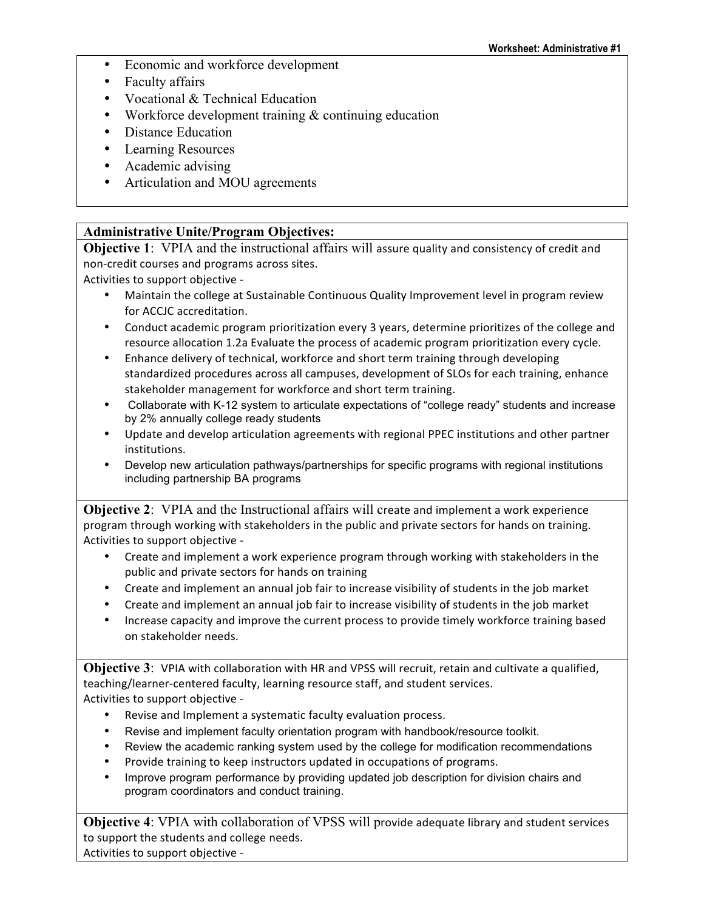- Economic and workforce development
- Faculty affairs
- Vocational & Technical Education
- Workforce development training & continuing education
- Distance Education
- Learning Resources
- Academic advising
- Articulation and MOU agreements

## **Administrative Unite/Program Objectives:**

**Objective 1:** VPIA and the instructional affairs will assure quality and consistency of credit and non-credit courses and programs across sites.

Activities to support objective -

- Maintain the college at Sustainable Continuous Quality Improvement level in program review for ACCJC accreditation.
- Conduct academic program prioritization every 3 years, determine prioritizes of the college and resource allocation 1.2a Evaluate the process of academic program prioritization every cycle.
- Enhance delivery of technical, workforce and short term training through developing standardized procedures across all campuses, development of SLOs for each training, enhance stakeholder management for workforce and short term training.
- Collaborate with K-12 system to articulate expectations of "college ready" students and increase by 2% annually college ready students
- Update and develop articulation agreements with regional PPEC institutions and other partner institutions.
- Develop new articulation pathways/partnerships for specific programs with regional institutions including partnership BA programs

**Objective 2:** VPIA and the Instructional affairs will create and implement a work experience program through working with stakeholders in the public and private sectors for hands on training. Activities to support objective -

- Create and implement a work experience program through working with stakeholders in the public and private sectors for hands on training
- Create and implement an annual job fair to increase visibility of students in the job market
- Create and implement an annual job fair to increase visibility of students in the job market
- Increase capacity and improve the current process to provide timely workforce training based on stakeholder needs.

**Objective 3:** VPIA with collaboration with HR and VPSS will recruit, retain and cultivate a qualified, teaching/learner-centered faculty, learning resource staff, and student services. Activities to support objective -

- Revise and Implement a systematic faculty evaluation process.
- Revise and implement faculty orientation program with handbook/resource toolkit.
- Review the academic ranking system used by the college for modification recommendations
- Provide training to keep instructors updated in occupations of programs.
- Improve program performance by providing updated job description for division chairs and program coordinators and conduct training.

**Objective 4: VPIA with collaboration of VPSS will provide adequate library and student services** to support the students and college needs. Activities to support objective -